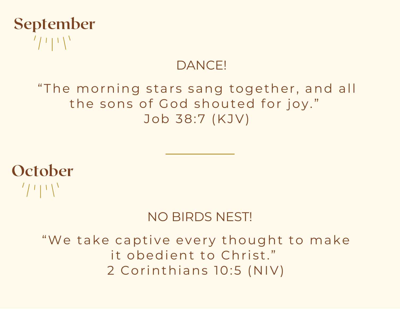

#### DANCE!

#### "The morning stars sang together, and all the sons of God shouted for joy." Job 38:7 (KJV)

**October**  $\frac{1}{2}$   $\frac{1}{2}$   $\frac{1}{2}$ 

#### NO BIRDS NEST!

"We take captive every thought to make it obedient to Christ." 2 Corinthians 10:5 (NIV)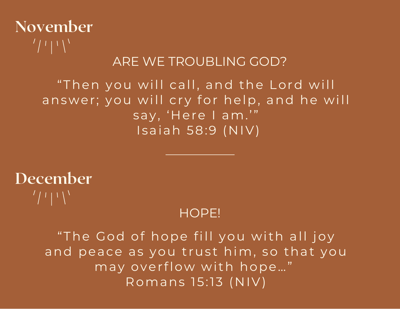## November  $\frac{1}{2}$   $\frac{1}{2}$   $\frac{1}{2}$   $\frac{1}{2}$

### ARE WE TROUBLING GOD?

#### "Then you will call, and the Lord will answer; you will cry for help, and he will say, 'Here I am. '" Isaiah 58:9 (NIV)



#### HOPE!

"The God of hope fill you with all joy and peace as you trust him, so that you may overflow with hope..." Romans 15:13 (NIV)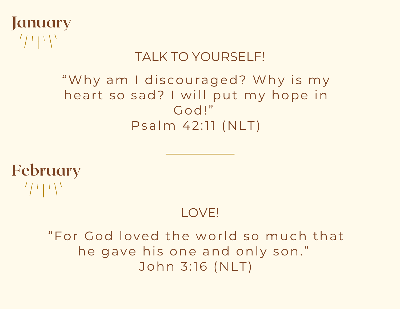

## TALK TO YOURSELF!

### "Why am I discouraged? Why is my heart so sad? I will put my hope in God!" Psalm 42:11 (NLT)

February  $\frac{1}{2}$   $\frac{1}{2}$   $\frac{1}{2}$ 

## LOVE!

"For God loved the wor ld so much that he gave his one and only son." John 3:16 (NLT)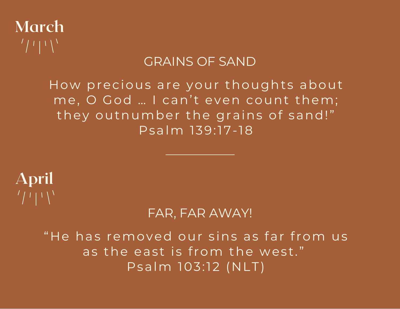

#### GRAINS OF SAND

How precious are your thoughts about me, O God ... I can't even count them; they outnumber the grains of sand!" Psalm 139:17-18

# April  $\frac{1}{2}$   $\frac{1}{2}$   $\frac{1}{2}$

### FAR, FAR AWAY!

"He has removed our sins as far from us as the east is from the west." Psalm 103:12 (NLT)